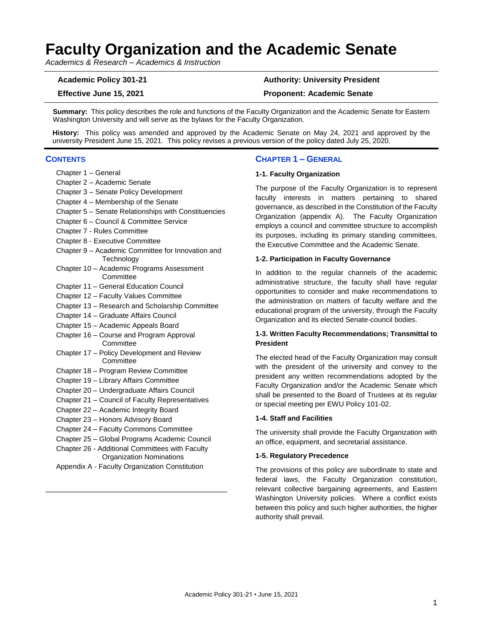# **Faculty Organization and the Academic Senate**

*Academics & Research – Academics & Instruction*

## **Academic Policy 301-21 Authority: University President**

## **Effective June 15, 2021 Proponent: Academic Senate**

**Summary:** This policy describes the role and functions of the Faculty Organization and the Academic Senate for Eastern Washington University and will serve as the bylaws for the Faculty Organization.

**History:** This policy was amended and approved by the Academic Senate on May 24, 2021 and approved by the university President June 15, 2021. This policy revises a previous version of the policy dated July 25, 2020.

## **CONTENTS**

- Chapter 1 General
- Chapter 2 Academic Senate
- Chapter 3 Senate Policy Development
- Chapter 4 Membership of the Senate
- Chapter 5 Senate Relationships with Constituencies
- Chapter 6 Council & Committee Service
- Chapter 7 Rules Committee
- Chapter 8 Executive Committee
- Chapter 9 Academic Committee for Innovation and **Technology**
- Chapter 10 Academic Programs Assessment **Committee**
- Chapter 11 General Education Council
- Chapter 12 Faculty Values Committee
- Chapter 13 Research and Scholarship Committee
- Chapter 14 Graduate Affairs Council
- Chapter 15 Academic Appeals Board
- Chapter 16 Course and Program Approval **Committee**
- Chapter 17 Policy Development and Review **Committee**
- Chapter 18 Program Review Committee
- Chapter 19 Library Affairs Committee
- Chapter 20 Undergraduate Affairs Council
- Chapter 21 Council of Faculty Representatives
- Chapter 22 Academic Integrity Board
- Chapter 23 Honors Advisory Board
- Chapter 24 Faculty Commons Committee
- Chapter 25 Global Programs Academic Council
- Chapter 26 Additional Committees with Faculty Organization Nominations
- Appendix A Faculty Organization Constitution

## **CHAPTER 1 – GENERAL**

#### **1-1. Faculty Organization**

The purpose of the Faculty Organization is to represent faculty interests in matters pertaining to shared governance, as described in the Constitution of the Faculty Organization (appendix A). The Faculty Organization employs a council and committee structure to accomplish its purposes, including its primary standing committees, the Executive Committee and the Academic Senate.

#### **1-2. Participation in Faculty Governance**

In addition to the regular channels of the academic administrative structure, the faculty shall have regular opportunities to consider and make recommendations to the administration on matters of faculty welfare and the educational program of the university, through the Faculty Organization and its elected Senate-council bodies.

## **1-3. Written Faculty Recommendations; Transmittal to President**

The elected head of the Faculty Organization may consult with the president of the university and convey to the president any written recommendations adopted by the Faculty Organization and/or the Academic Senate which shall be presented to the Board of Trustees at its regular or special meeting per EWU Policy 101-02.

#### **1-4. Staff and Facilities**

The university shall provide the Faculty Organization with an office, equipment, and secretarial assistance.

#### **1-5. Regulatory Precedence**

The provisions of this policy are subordinate to state and federal laws, the Faculty Organization constitution, relevant collective bargaining agreements, and Eastern Washington University policies. Where a conflict exists between this policy and such higher authorities, the higher authority shall prevail.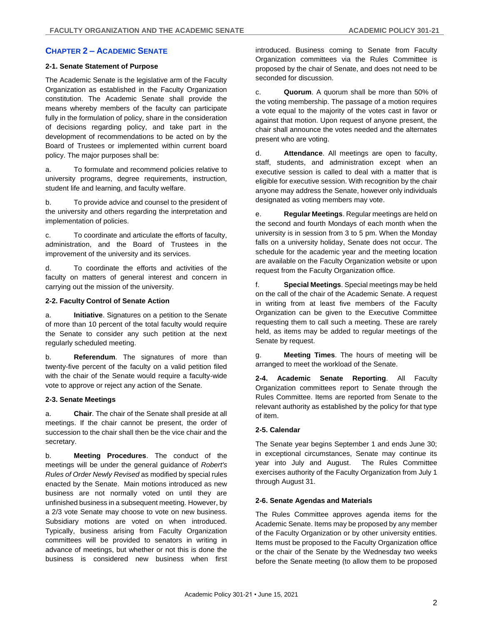## **CHAPTER 2 – ACADEMIC SENATE**

## **2-1. Senate Statement of Purpose**

The Academic Senate is the legislative arm of the Faculty Organization as established in the Faculty Organization constitution. The Academic Senate shall provide the means whereby members of the faculty can participate fully in the formulation of policy, share in the consideration of decisions regarding policy, and take part in the development of recommendations to be acted on by the Board of Trustees or implemented within current board policy. The major purposes shall be:

a. To formulate and recommend policies relative to university programs, degree requirements, instruction, student life and learning, and faculty welfare.

b. To provide advice and counsel to the president of the university and others regarding the interpretation and implementation of policies.

c. To coordinate and articulate the efforts of faculty, administration, and the Board of Trustees in the improvement of the university and its services.

d. To coordinate the efforts and activities of the faculty on matters of general interest and concern in carrying out the mission of the university.

## **2-2. Faculty Control of Senate Action**

a. **Initiative**. Signatures on a petition to the Senate of more than 10 percent of the total faculty would require the Senate to consider any such petition at the next regularly scheduled meeting.

b. **Referendum**. The signatures of more than twenty-five percent of the faculty on a valid petition filed with the chair of the Senate would require a faculty-wide vote to approve or reject any action of the Senate.

## **2-3. Senate Meetings**

a. **Chair**. The chair of the Senate shall preside at all meetings. If the chair cannot be present, the order of succession to the chair shall then be the vice chair and the secretary.

b. **Meeting Procedures**. The conduct of the meetings will be under the general guidance of *Robert's Rules of Order Newly Revised* as modified by special rules enacted by the Senate. Main motions introduced as new business are not normally voted on until they are unfinished business in a subsequent meeting. However, by a 2/3 vote Senate may choose to vote on new business. Subsidiary motions are voted on when introduced. Typically, business arising from Faculty Organization committees will be provided to senators in writing in advance of meetings, but whether or not this is done the business is considered new business when first introduced. Business coming to Senate from Faculty Organization committees via the Rules Committee is proposed by the chair of Senate, and does not need to be seconded for discussion.

c. **Quorum**. A quorum shall be more than 50% of the voting membership. The passage of a motion requires a vote equal to the majority of the votes cast in favor or against that motion. Upon request of anyone present, the chair shall announce the votes needed and the alternates present who are voting.

d. **Attendance**. All meetings are open to faculty, staff, students, and administration except when an executive session is called to deal with a matter that is eligible for executive session. With recognition by the chair anyone may address the Senate, however only individuals designated as voting members may vote.

e. **Regular Meetings**. Regular meetings are held on the second and fourth Mondays of each month when the university is in session from 3 to 5 pm. When the Monday falls on a university holiday, Senate does not occur. The schedule for the academic year and the meeting location are available on the Faculty Organization website or upon request from the Faculty Organization office.

f. **Special Meetings**. Special meetings may be held on the call of the chair of the Academic Senate. A request in writing from at least five members of the Faculty Organization can be given to the Executive Committee requesting them to call such a meeting. These are rarely held, as items may be added to regular meetings of the Senate by request.

g. **Meeting Times**. The hours of meeting will be arranged to meet the workload of the Senate.

**2-4. Academic Senate Reporting**. All Faculty Organization committees report to Senate through the Rules Committee. Items are reported from Senate to the relevant authority as established by the policy for that type of item.

## **2-5. Calendar**

The Senate year begins September 1 and ends June 30; in exceptional circumstances, Senate may continue its year into July and August. The Rules Committee exercises authority of the Faculty Organization from July 1 through August 31.

## **2-6. Senate Agendas and Materials**

The Rules Committee approves agenda items for the Academic Senate. Items may be proposed by any member of the Faculty Organization or by other university entities. Items must be proposed to the Faculty Organization office or the chair of the Senate by the Wednesday two weeks before the Senate meeting (to allow them to be proposed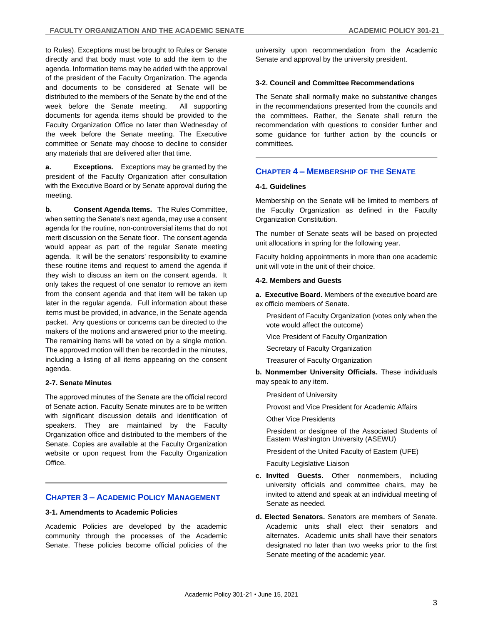to Rules). Exceptions must be brought to Rules or Senate directly and that body must vote to add the item to the agenda. Information items may be added with the approval of the president of the Faculty Organization. The agenda and documents to be considered at Senate will be distributed to the members of the Senate by the end of the week before the Senate meeting. All supporting documents for agenda items should be provided to the Faculty Organization Office no later than Wednesday of the week before the Senate meeting. The Executive committee or Senate may choose to decline to consider any materials that are delivered after that time.

**a. Exceptions.** Exceptions may be granted by the president of the Faculty Organization after consultation with the Executive Board or by Senate approval during the meeting.

**b. Consent Agenda Items.** The Rules Committee, when setting the Senate's next agenda, may use a consent agenda for the routine, non-controversial items that do not merit discussion on the Senate floor. The consent agenda would appear as part of the regular Senate meeting agenda. It will be the senators' responsibility to examine these routine items and request to amend the agenda if they wish to discuss an item on the consent agenda. It only takes the request of one senator to remove an item from the consent agenda and that item will be taken up later in the regular agenda. Full information about these items must be provided, in advance, in the Senate agenda packet. Any questions or concerns can be directed to the makers of the motions and answered prior to the meeting. The remaining items will be voted on by a single motion. The approved motion will then be recorded in the minutes, including a listing of all items appearing on the consent agenda.

## **2-7. Senate Minutes**

The approved minutes of the Senate are the official record of Senate action. Faculty Senate minutes are to be written with significant discussion details and identification of speakers. They are maintained by the Faculty Organization office and distributed to the members of the Senate. Copies are available at the Faculty Organization website or upon request from the Faculty Organization **Office** 

## **CHAPTER 3 – ACADEMIC POLICY MANAGEMENT**

## **3-1. Amendments to Academic Policies**

Academic Policies are developed by the academic community through the processes of the Academic Senate. These policies become official policies of the

university upon recommendation from the Academic Senate and approval by the university president.

## **3-2. Council and Committee Recommendations**

The Senate shall normally make no substantive changes in the recommendations presented from the councils and the committees. Rather, the Senate shall return the recommendation with questions to consider further and some guidance for further action by the councils or committees.

## **CHAPTER 4 – MEMBERSHIP OF THE SENATE**

## **4-1. Guidelines**

Membership on the Senate will be limited to members of the Faculty Organization as defined in the Faculty Organization Constitution.

The number of Senate seats will be based on projected unit allocations in spring for the following year.

Faculty holding appointments in more than one academic unit will vote in the unit of their choice.

## **4-2. Members and Guests**

**a. Executive Board.** Members of the executive board are ex officio members of Senate.

President of Faculty Organization (votes only when the vote would affect the outcome)

Vice President of Faculty Organization

Secretary of Faculty Organization

Treasurer of Faculty Organization

**b. Nonmember University Officials.** These individuals may speak to any item.

President of University

Provost and Vice President for Academic Affairs

Other Vice Presidents

President or designee of the Associated Students of Eastern Washington University (ASEWU)

President of the United Faculty of Eastern (UFE)

Faculty Legislative Liaison

- **c. Invited Guests.** Other nonmembers, including university officials and committee chairs, may be invited to attend and speak at an individual meeting of Senate as needed.
- **d. Elected Senators.** Senators are members of Senate. Academic units shall elect their senators and alternates. Academic units shall have their senators designated no later than two weeks prior to the first Senate meeting of the academic year.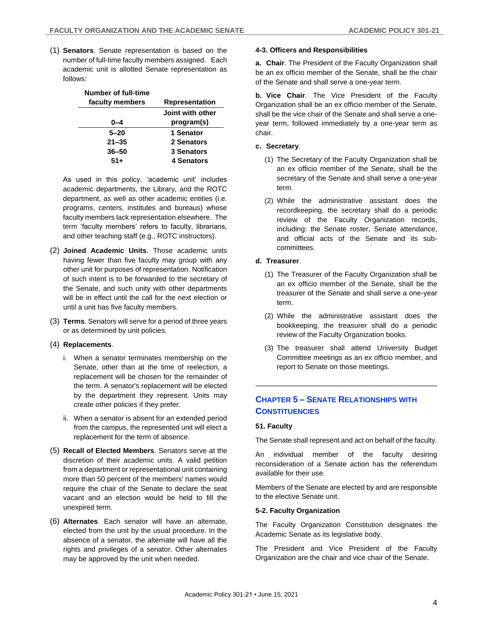(1) **Senators**. Senate representation is based on the number of full-time faculty members assigned. Each academic unit is allotted Senate representation as follows:

| <b>Number of full-time</b> |                  |
|----------------------------|------------------|
| faculty members            | Representation   |
|                            | Joint with other |
| 0-4                        | program(s)       |
| $5 - 20$                   | 1 Senator        |
| $21 - 35$                  | 2 Senators       |
| $36 - 50$                  | 3 Senators       |
| $51+$                      | 4 Senators       |

As used in this policy, 'academic unit' includes academic departments, the Library, and the ROTC department, as well as other academic entities (i.e. programs, centers, institutes and bureaus) whose faculty members lack representation elsewhere. The term 'faculty members' refers to faculty, librarians, and other teaching staff (e.g., ROTC instructors).

- (2) **Joined Academic Units**. Those academic units having fewer than five faculty may group with any other unit for purposes of representation. Notification of such intent is to be forwarded to the secretary of the Senate, and such unity with other departments will be in effect until the call for the next election or until a unit has five faculty members.
- (3) **Terms**. Senators will serve for a period of three years or as determined by unit policies.
- (4) **Replacements**.
	- i. When a senator terminates membership on the Senate, other than at the time of reelection, a replacement will be chosen for the remainder of the term. A senator's replacement will be elected by the department they represent. Units may create other policies if they prefer.
	- ii. When a senator is absent for an extended period from the campus, the represented unit will elect a replacement for the term of absence.
- (5) **Recall of Elected Members**. Senators serve at the discretion of their academic units. A valid petition from a department or representational unit containing more than 50 percent of the members' names would require the chair of the Senate to declare the seat vacant and an election would be held to fill the unexpired term.
- (6) **Alternates**. Each senator will have an alternate, elected from the unit by the usual procedure. In the absence of a senator, the alternate will have all the rights and privileges of a senator. Other alternates may be approved by the unit when needed.

## **4-3. Officers and Responsibilities**

**a. Chair**. The President of the Faculty Organization shall be an ex officio member of the Senate, shall be the chair of the Senate and shall serve a one-year term.

**b. Vice Chair**. The Vice President of the Faculty Organization shall be an ex officio member of the Senate, shall be the vice chair of the Senate and shall serve a oneyear term, followed immediately by a one-year term as chair.

#### **c. Secretary**.

- (1) The Secretary of the Faculty Organization shall be an ex officio member of the Senate, shall be the secretary of the Senate and shall serve a one-year term.
- (2) While the administrative assistant does the recordkeeping, the secretary shall do a periodic review of the Faculty Organization records, including: the Senate roster, Senate attendance, and official acts of the Senate and its subcommittees.
- **d. Treasurer**.
	- (1) The Treasurer of the Faculty Organization shall be an ex officio member of the Senate, shall be the treasurer of the Senate and shall serve a one-year term.
	- (2) While the administrative assistant does the bookkeeping, the treasurer shall do a periodic review of the Faculty Organization books.
	- (3) The treasurer shall attend University Budget Committee meetings as an ex officio member, and report to Senate on those meetings.

## **CHAPTER 5 – SENATE RELATIONSHIPS WITH CONSTITUENCIES**

## **51. Faculty**

The Senate shall represent and act on behalf of the faculty.

An individual member of the faculty desiring reconsideration of a Senate action has the referendum available for their use.

Members of the Senate are elected by and are responsible to the elective Senate unit.

## **5-2. Faculty Organization**

The Faculty Organization Constitution designates the Academic Senate as its legislative body.

The President and Vice President of the Faculty Organization are the chair and vice chair of the Senate.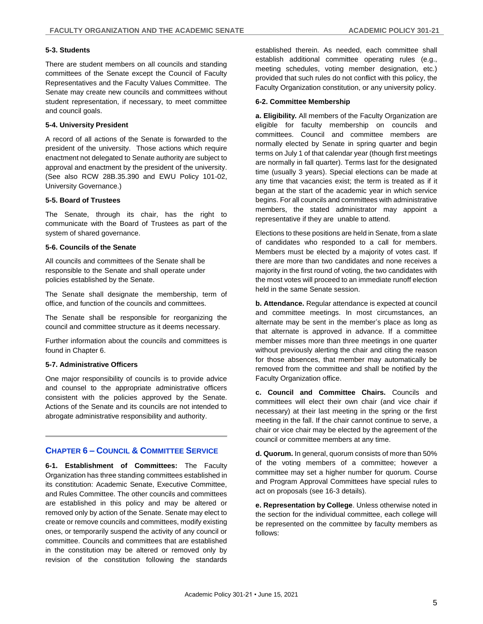## **5-3. Students**

There are student members on all councils and standing committees of the Senate except the Council of Faculty Representatives and the Faculty Values Committee. The Senate may create new councils and committees without student representation, if necessary, to meet committee and council goals.

## **5-4. University President**

A record of all actions of the Senate is forwarded to the president of the university. Those actions which require enactment not delegated to Senate authority are subject to approval and enactment by the president of the university. (See also RCW 28B.35.390 and EWU Policy 101-02, University Governance.)

#### **5-5. Board of Trustees**

The Senate, through its chair, has the right to communicate with the Board of Trustees as part of the system of shared governance.

#### **5-6. Councils of the Senate**

All councils and committees of the Senate shall be responsible to the Senate and shall operate under policies established by the Senate.

The Senate shall designate the membership, term of office, and function of the councils and committees.

The Senate shall be responsible for reorganizing the council and committee structure as it deems necessary.

Further information about the councils and committees is found in Chapter 6.

## **5-7. Administrative Officers**

One major responsibility of councils is to provide advice and counsel to the appropriate administrative officers consistent with the policies approved by the Senate. Actions of the Senate and its councils are not intended to abrogate administrative responsibility and authority.

## **CHAPTER 6 – COUNCIL & COMMITTEE SERVICE**

**6-1. Establishment of Committees:** The Faculty Organization has three standing committees established in its constitution: Academic Senate, Executive Committee, and Rules Committee. The other councils and committees are established in this policy and may be altered or removed only by action of the Senate. Senate may elect to create or remove councils and committees, modify existing ones, or temporarily suspend the activity of any council or committee. Councils and committees that are established in the constitution may be altered or removed only by revision of the constitution following the standards

established therein. As needed, each committee shall establish additional committee operating rules (e.g., meeting schedules, voting member designation, etc.) provided that such rules do not conflict with this policy, the Faculty Organization constitution, or any university policy.

#### **6-2. Committee Membership**

**a. Eligibility.** All members of the Faculty Organization are eligible for faculty membership on councils and committees. Council and committee members are normally elected by Senate in spring quarter and begin terms on July 1 of that calendar year (though first meetings are normally in fall quarter). Terms last for the designated time (usually 3 years). Special elections can be made at any time that vacancies exist; the term is treated as if it began at the start of the academic year in which service begins. For all councils and committees with administrative members, the stated administrator may appoint a representative if they are unable to attend.

Elections to these positions are held in Senate, from a slate of candidates who responded to a call for members. Members must be elected by a majority of votes cast. If there are more than two candidates and none receives a majority in the first round of voting, the two candidates with the most votes will proceed to an immediate runoff election held in the same Senate session.

**b. Attendance.** Regular attendance is expected at council and committee meetings. In most circumstances, an alternate may be sent in the member's place as long as that alternate is approved in advance. If a committee member misses more than three meetings in one quarter without previously alerting the chair and citing the reason for those absences, that member may automatically be removed from the committee and shall be notified by the Faculty Organization office.

**c. Council and Committee Chairs.** Councils and committees will elect their own chair (and vice chair if necessary) at their last meeting in the spring or the first meeting in the fall. If the chair cannot continue to serve, a chair or vice chair may be elected by the agreement of the council or committee members at any time.

**d. Quorum.** In general, quorum consists of more than 50% of the voting members of a committee; however a committee may set a higher number for quorum. Course and Program Approval Committees have special rules to act on proposals (see 16-3 details).

**e. Representation by College**. Unless otherwise noted in the section for the individual committee, each college will be represented on the committee by faculty members as follows: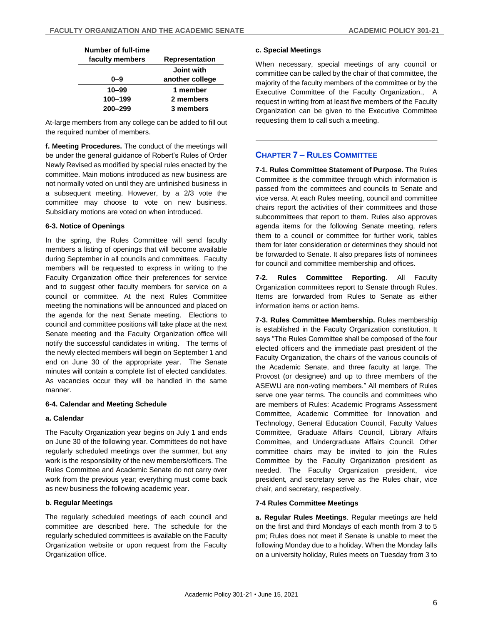| Number of full-time |                |
|---------------------|----------------|
| faculty members     | Representation |

| iaculty Illefilioci S | nchi esemanoni    |
|-----------------------|-------------------|
|                       | <b>Joint with</b> |
| 0–9                   | another college   |
| $10 - 99$             | 1 member          |
| 100-199               | 2 members         |
| 200-299               | 3 members         |
|                       |                   |

At-large members from any college can be added to fill out the required number of members.

**f. Meeting Procedures.** The conduct of the meetings will be under the general guidance of Robert's Rules of Order Newly Revised as modified by special rules enacted by the committee. Main motions introduced as new business are not normally voted on until they are unfinished business in a subsequent meeting. However, by a 2/3 vote the committee may choose to vote on new business. Subsidiary motions are voted on when introduced.

## **6-3. Notice of Openings**

In the spring, the Rules Committee will send faculty members a listing of openings that will become available during September in all councils and committees. Faculty members will be requested to express in writing to the Faculty Organization office their preferences for service and to suggest other faculty members for service on a council or committee. At the next Rules Committee meeting the nominations will be announced and placed on the agenda for the next Senate meeting. Elections to council and committee positions will take place at the next Senate meeting and the Faculty Organization office will notify the successful candidates in writing. The terms of the newly elected members will begin on September 1 and end on June 30 of the appropriate year. The Senate minutes will contain a complete list of elected candidates. As vacancies occur they will be handled in the same manner.

## **6-4. Calendar and Meeting Schedule**

## **a. Calendar**

The Faculty Organization year begins on July 1 and ends on June 30 of the following year. Committees do not have regularly scheduled meetings over the summer, but any work is the responsibility of the new members/officers. The Rules Committee and Academic Senate do not carry over work from the previous year; everything must come back as new business the following academic year.

## **b. Regular Meetings**

The regularly scheduled meetings of each council and committee are described here. The schedule for the regularly scheduled committees is available on the Faculty Organization website or upon request from the Faculty Organization office.

## **c. Special Meetings**

When necessary, special meetings of any council or committee can be called by the chair of that committee, the majority of the faculty members of the committee or by the Executive Committee of the Faculty Organization., A request in writing from at least five members of the Faculty Organization can be given to the Executive Committee requesting them to call such a meeting.

## **CHAPTER 7 – RULES COMMITTEE**

**7-1. Rules Committee Statement of Purpose.** The Rules Committee is the committee through which information is passed from the committees and councils to Senate and vice versa. At each Rules meeting, council and committee chairs report the activities of their committees and those subcommittees that report to them. Rules also approves agenda items for the following Senate meeting, refers them to a council or committee for further work, tables them for later consideration or determines they should not be forwarded to Senate. It also prepares lists of nominees for council and committee membership and offices.

**7-2. Rules Committee Reporting**. All Faculty Organization committees report to Senate through Rules. Items are forwarded from Rules to Senate as either information items or action items.

**7-3. Rules Committee Membership.** Rules membership is established in the Faculty Organization constitution. It says "The Rules Committee shall be composed of the four elected officers and the immediate past president of the Faculty Organization, the chairs of the various councils of the Academic Senate, and three faculty at large. The Provost (or designee) and up to three members of the ASEWU are non-voting members." All members of Rules serve one year terms. The councils and committees who are members of Rules: Academic Programs Assessment Committee, Academic Committee for Innovation and Technology, General Education Council, Faculty Values Committee, Graduate Affairs Council, Library Affairs Committee, and Undergraduate Affairs Council. Other committee chairs may be invited to join the Rules Committee by the Faculty Organization president as needed. The Faculty Organization president, vice president, and secretary serve as the Rules chair, vice chair, and secretary, respectively.

## **7-4 Rules Committee Meetings**

**a. Regular Rules Meetings**. Regular meetings are held on the first and third Mondays of each month from 3 to 5 pm; Rules does not meet if Senate is unable to meet the following Monday due to a holiday. When the Monday falls on a university holiday, Rules meets on Tuesday from 3 to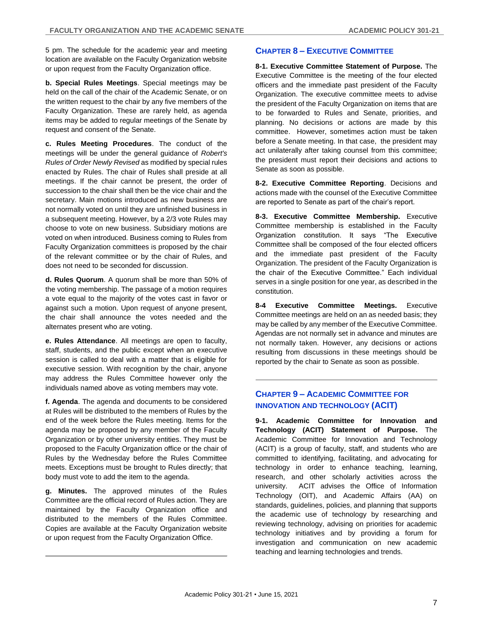5 pm. The schedule for the academic year and meeting location are available on the Faculty Organization website or upon request from the Faculty Organization office.

**b. Special Rules Meetings**. Special meetings may be held on the call of the chair of the Academic Senate, or on the written request to the chair by any five members of the Faculty Organization. These are rarely held, as agenda items may be added to regular meetings of the Senate by request and consent of the Senate.

**c. Rules Meeting Procedures**. The conduct of the meetings will be under the general guidance of *Robert's Rules of Order Newly Revised* as modified by special rules enacted by Rules. The chair of Rules shall preside at all meetings. If the chair cannot be present, the order of succession to the chair shall then be the vice chair and the secretary. Main motions introduced as new business are not normally voted on until they are unfinished business in a subsequent meeting. However, by a 2/3 vote Rules may choose to vote on new business. Subsidiary motions are voted on when introduced. Business coming to Rules from Faculty Organization committees is proposed by the chair of the relevant committee or by the chair of Rules, and does not need to be seconded for discussion.

**d. Rules Quorum**. A quorum shall be more than 50% of the voting membership. The passage of a motion requires a vote equal to the majority of the votes cast in favor or against such a motion. Upon request of anyone present, the chair shall announce the votes needed and the alternates present who are voting.

**e. Rules Attendance**. All meetings are open to faculty, staff, students, and the public except when an executive session is called to deal with a matter that is eligible for executive session. With recognition by the chair, anyone may address the Rules Committee however only the individuals named above as voting members may vote.

**f. Agenda**. The agenda and documents to be considered at Rules will be distributed to the members of Rules by the end of the week before the Rules meeting. Items for the agenda may be proposed by any member of the Faculty Organization or by other university entities. They must be proposed to the Faculty Organization office or the chair of Rules by the Wednesday before the Rules Committee meets. Exceptions must be brought to Rules directly; that body must vote to add the item to the agenda.

**g. Minutes.** The approved minutes of the Rules Committee are the official record of Rules action. They are maintained by the Faculty Organization office and distributed to the members of the Rules Committee. Copies are available at the Faculty Organization website or upon request from the Faculty Organization Office.

## **CHAPTER 8 – EXECUTIVE COMMITTEE**

**8-1. Executive Committee Statement of Purpose.** The Executive Committee is the meeting of the four elected officers and the immediate past president of the Faculty Organization. The executive committee meets to advise the president of the Faculty Organization on items that are to be forwarded to Rules and Senate, priorities, and planning. No decisions or actions are made by this committee. However, sometimes action must be taken before a Senate meeting. In that case, the president may act unilaterally after taking counsel from this committee; the president must report their decisions and actions to Senate as soon as possible.

**8-2. Executive Committee Reporting**. Decisions and actions made with the counsel of the Executive Committee are reported to Senate as part of the chair's report.

**8-3. Executive Committee Membership.** Executive Committee membership is established in the Faculty Organization constitution. It says "The Executive Committee shall be composed of the four elected officers and the immediate past president of the Faculty Organization. The president of the Faculty Organization is the chair of the Executive Committee." Each individual serves in a single position for one year, as described in the constitution.

**8-4 Executive Committee Meetings.** Executive Committee meetings are held on an as needed basis; they may be called by any member of the Executive Committee. Agendas are not normally set in advance and minutes are not normally taken. However, any decisions or actions resulting from discussions in these meetings should be reported by the chair to Senate as soon as possible.

## **CHAPTER 9 – ACADEMIC COMMITTEE FOR INNOVATION AND TECHNOLOGY (ACIT)**

**9-1. Academic Committee for Innovation and Technology (ACIT) Statement of Purpose.** The Academic Committee for Innovation and Technology (ACIT) is a group of faculty, staff, and students who are committed to identifying, facilitating, and advocating for technology in order to enhance teaching, learning, research, and other scholarly activities across the university. ACIT advises the Office of Information Technology (OIT), and Academic Affairs (AA) on standards, guidelines, policies, and planning that supports the academic use of technology by researching and reviewing technology, advising on priorities for academic technology initiatives and by providing a forum for investigation and communication on new academic teaching and learning technologies and trends.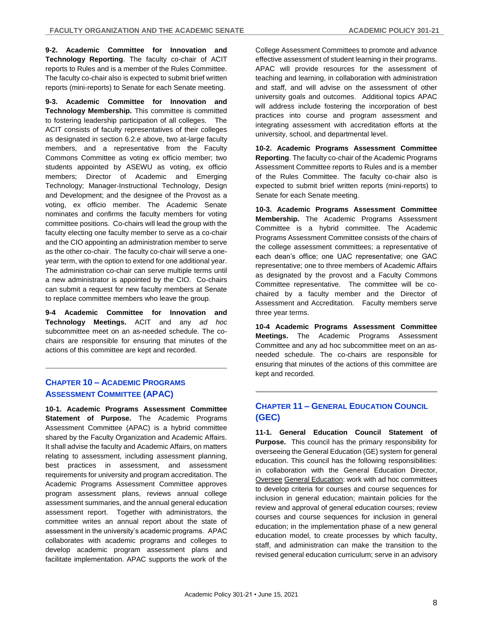**9-2. Academic Committee for Innovation and Technology Reporting**. The faculty co-chair of ACIT reports to Rules and is a member of the Rules Committee. The faculty co-chair also is expected to submit brief written reports (mini-reports) to Senate for each Senate meeting.

**9-3. Academic Committee for Innovation and Technology Membership.** This committee is committed to fostering leadership participation of all colleges. The ACIT consists of faculty representatives of their colleges as designated in section 6.2.e above, two at-large faculty members, and a representative from the Faculty Commons Committee as voting ex officio member; two students appointed by ASEWU as voting, ex officio members; Director of Academic and Emerging Technology; Manager-Instructional Technology, Design and Development; and the designee of the Provost as a voting, ex officio member. The Academic Senate nominates and confirms the faculty members for voting committee positions. Co-chairs will lead the group with the faculty electing one faculty member to serve as a co-chair and the CIO appointing an administration member to serve as the other co-chair. The faculty co-chair will serve a oneyear term, with the option to extend for one additional year. The administration co-chair can serve multiple terms until a new administrator is appointed by the CIO. Co-chairs can submit a request for new faculty members at Senate to replace committee members who leave the group.

**9-4 Academic Committee for Innovation and Technology Meetings.** ACIT and any *ad hoc* subcommittee meet on an as-needed schedule. The cochairs are responsible for ensuring that minutes of the actions of this committee are kept and recorded.

## **CHAPTER 10 – ACADEMIC PROGRAMS ASSESSMENT COMMITTEE (APAC)**

**10-1. Academic Programs Assessment Committee Statement of Purpose.** The Academic Programs Assessment Committee (APAC) is a hybrid committee shared by the Faculty Organization and Academic Affairs. It shall advise the faculty and Academic Affairs, on matters relating to assessment, including assessment planning, best practices in assessment, and assessment requirements for university and program accreditation. The Academic Programs Assessment Committee approves program assessment plans, reviews annual college assessment summaries, and the annual general education assessment report. Together with administrators, the committee writes an annual report about the state of assessment in the university's academic programs. APAC collaborates with academic programs and colleges to develop academic program assessment plans and facilitate implementation. APAC supports the work of the

College Assessment Committees to promote and advance effective assessment of student learning in their programs. APAC will provide resources for the assessment of teaching and learning, in collaboration with administration and staff, and will advise on the assessment of other university goals and outcomes. Additional topics APAC will address include fostering the incorporation of best practices into course and program assessment and integrating assessment with accreditation efforts at the university, school, and departmental level.

**10-2. Academic Programs Assessment Committee Reporting**. The faculty co-chair of the Academic Programs Assessment Committee reports to Rules and is a member of the Rules Committee. The faculty co-chair also is expected to submit brief written reports (mini-reports) to Senate for each Senate meeting.

**10-3. Academic Programs Assessment Committee Membership.** The Academic Programs Assessment Committee is a hybrid committee. The Academic Programs Assessment Committee consists of the chairs of the college assessment committees; a representative of each dean's office; one UAC representative; one GAC representative; one to three members of Academic Affairs as designated by the provost and a Faculty Commons Committee representative. The committee will be cochaired by a faculty member and the Director of Assessment and Accreditation. Faculty members serve three year terms.

**10-4 Academic Programs Assessment Committee Meetings.** The Academic Programs Assessment Committee and any ad hoc subcommittee meet on an asneeded schedule. The co-chairs are responsible for ensuring that minutes of the actions of this committee are kept and recorded.

## **CHAPTER 11 – GENERAL EDUCATION COUNCIL (GEC)**

**11-1. General Education Council Statement of Purpose.** This council has the primary responsibility for overseeing the General Education (GE) system for general education. This council has the following responsibilities: in collaboration with the General Education Director, Oversee General Education: work with ad hoc committees to develop criteria for courses and course sequences for inclusion in general education; maintain policies for the review and approval of general education courses; review courses and course sequences for inclusion in general education; in the implementation phase of a new general education model, to create processes by which faculty, staff, and administration can make the transition to the revised general education curriculum; serve in an advisory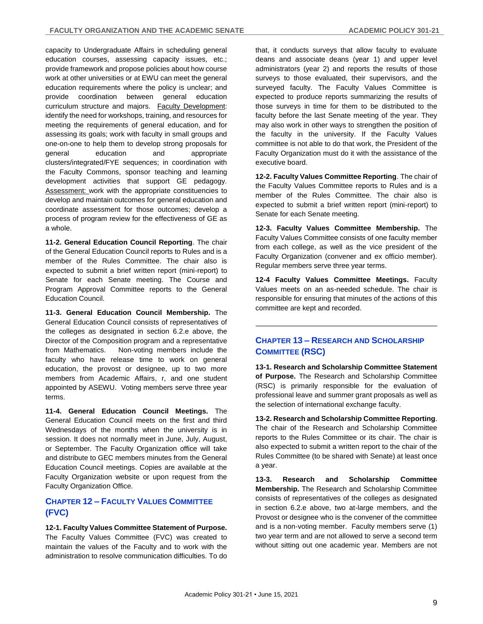capacity to Undergraduate Affairs in scheduling general education courses, assessing capacity issues, etc.; provide framework and propose policies about how course work at other universities or at EWU can meet the general education requirements where the policy is unclear; and provide coordination between general education curriculum structure and majors. Faculty Development: identify the need for workshops, training, and resources for meeting the requirements of general education, and for assessing its goals; work with faculty in small groups and one-on-one to help them to develop strong proposals for general education and appropriate clusters/integrated/FYE sequences; in coordination with the Faculty Commons, sponsor teaching and learning development activities that support GE pedagogy. Assessment: work with the appropriate constituencies to develop and maintain outcomes for general education and coordinate assessment for those outcomes; develop a process of program review for the effectiveness of GE as a whole.

**11-2. General Education Council Reporting**. The chair of the General Education Council reports to Rules and is a member of the Rules Committee. The chair also is expected to submit a brief written report (mini-report) to Senate for each Senate meeting. The Course and Program Approval Committee reports to the General Education Council.

**11-3. General Education Council Membership.** The General Education Council consists of representatives of the colleges as designated in section 6.2.e above, the Director of the Composition program and a representative from Mathematics. Non-voting members include the faculty who have release time to work on general education, the provost or designee, up to two more members from Academic Affairs, r, and one student appointed by ASEWU. Voting members serve three year terms.

**11-4. General Education Council Meetings.** The General Education Council meets on the first and third Wednesdays of the months when the university is in session. It does not normally meet in June, July, August, or September. The Faculty Organization office will take and distribute to GEC members minutes from the General Education Council meetings. Copies are available at the Faculty Organization website or upon request from the Faculty Organization Office.

## **CHAPTER 12 – FACULTY VALUES COMMITTEE (FVC)**

**12-1. Faculty Values Committee Statement of Purpose.**  The Faculty Values Committee (FVC) was created to maintain the values of the Faculty and to work with the administration to resolve communication difficulties. To do that, it conducts surveys that allow faculty to evaluate deans and associate deans (year 1) and upper level administrators (year 2) and reports the results of those surveys to those evaluated, their supervisors, and the surveyed faculty. The Faculty Values Committee is expected to produce reports summarizing the results of those surveys in time for them to be distributed to the faculty before the last Senate meeting of the year. They may also work in other ways to strengthen the position of the faculty in the university. If the Faculty Values committee is not able to do that work, the President of the Faculty Organization must do it with the assistance of the executive board.

**12-2. Faculty Values Committee Reporting**. The chair of the Faculty Values Committee reports to Rules and is a member of the Rules Committee. The chair also is expected to submit a brief written report (mini-report) to Senate for each Senate meeting.

**12-3. Faculty Values Committee Membership.** The Faculty Values Committee consists of one faculty member from each college, as well as the vice president of the Faculty Organization (convener and ex officio member). Regular members serve three year terms.

**12-4 Faculty Values Committee Meetings.** Faculty Values meets on an as-needed schedule. The chair is responsible for ensuring that minutes of the actions of this committee are kept and recorded.

## **CHAPTER 13 – RESEARCH AND SCHOLARSHIP COMMITTEE (RSC)**

**13-1. Research and Scholarship Committee Statement of Purpose.** The Research and Scholarship Committee (RSC) is primarily responsible for the evaluation of professional leave and summer grant proposals as well as the selection of international exchange faculty.

**13-2. Research and Scholarship Committee Reporting**. The chair of the Research and Scholarship Committee reports to the Rules Committee or its chair. The chair is also expected to submit a written report to the chair of the Rules Committee (to be shared with Senate) at least once a year.

**13-3. Research and Scholarship Committee Membership.** The Research and Scholarship Committee consists of representatives of the colleges as designated in section 6.2.e above, two at-large members, and the Provost or designee who is the convener of the committee and is a non-voting member. Faculty members serve (1) two year term and are not allowed to serve a second term without sitting out one academic year. Members are not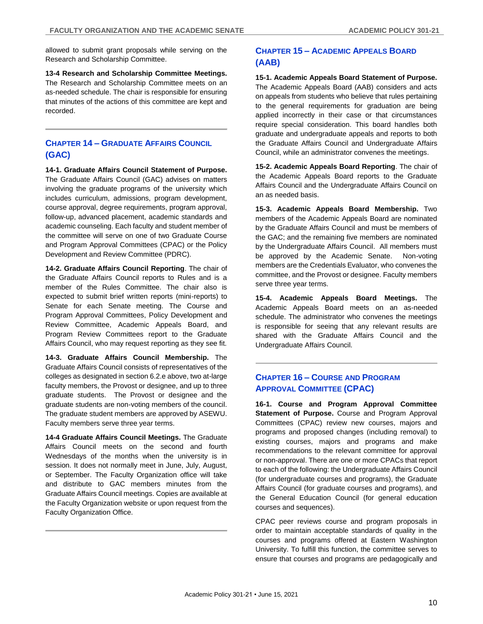allowed to submit grant proposals while serving on the Research and Scholarship Committee.

**13-4 Research and Scholarship Committee Meetings.** The Research and Scholarship Committee meets on an as-needed schedule. The chair is responsible for ensuring that minutes of the actions of this committee are kept and recorded.

## **CHAPTER 14 – GRADUATE AFFAIRS COUNCIL (GAC)**

**14-1. Graduate Affairs Council Statement of Purpose.**  The Graduate Affairs Council (GAC) advises on matters involving the graduate programs of the university which includes curriculum, admissions, program development, course approval, degree requirements, program approval, follow-up, advanced placement, academic standards and academic counseling. Each faculty and student member of the committee will serve on one of two Graduate Course and Program Approval Committees (CPAC) or the Policy Development and Review Committee (PDRC).

**14-2. Graduate Affairs Council Reporting**. The chair of the Graduate Affairs Council reports to Rules and is a member of the Rules Committee. The chair also is expected to submit brief written reports (mini-reports) to Senate for each Senate meeting. The Course and Program Approval Committees, Policy Development and Review Committee, Academic Appeals Board, and Program Review Committees report to the Graduate Affairs Council, who may request reporting as they see fit.

**14-3. Graduate Affairs Council Membership.** The Graduate Affairs Council consists of representatives of the colleges as designated in section 6.2.e above, two at-large faculty members, the Provost or designee, and up to three graduate students. The Provost or designee and the graduate students are non-voting members of the council. The graduate student members are approved by ASEWU. Faculty members serve three year terms.

**14-4 Graduate Affairs Council Meetings.** The Graduate Affairs Council meets on the second and fourth Wednesdays of the months when the university is in session. It does not normally meet in June, July, August, or September. The Faculty Organization office will take and distribute to GAC members minutes from the Graduate Affairs Council meetings. Copies are available at the Faculty Organization website or upon request from the Faculty Organization Office.

## **CHAPTER 15 – ACADEMIC APPEALS BOARD (AAB)**

**15-1. Academic Appeals Board Statement of Purpose.**  The Academic Appeals Board (AAB) considers and acts on appeals from students who believe that rules pertaining to the general requirements for graduation are being applied incorrectly in their case or that circumstances require special consideration. This board handles both graduate and undergraduate appeals and reports to both the Graduate Affairs Council and Undergraduate Affairs Council, while an administrator convenes the meetings.

**15-2. Academic Appeals Board Reporting**. The chair of the Academic Appeals Board reports to the Graduate Affairs Council and the Undergraduate Affairs Council on an as needed basis.

**15-3. Academic Appeals Board Membership.** Two members of the Academic Appeals Board are nominated by the Graduate Affairs Council and must be members of the GAC; and the remaining five members are nominated by the Undergraduate Affairs Council. All members must be approved by the Academic Senate. Non-voting members are the Credentials Evaluator, who convenes the committee, and the Provost or designee. Faculty members serve three year terms.

**15-4. Academic Appeals Board Meetings.** The Academic Appeals Board meets on an as-needed schedule. The administrator who convenes the meetings is responsible for seeing that any relevant results are shared with the Graduate Affairs Council and the Undergraduate Affairs Council.

## **CHAPTER 16 – COURSE AND PROGRAM APPROVAL COMMITTEE (CPAC)**

**16-1. Course and Program Approval Committee Statement of Purpose.** Course and Program Approval Committees (CPAC) review new courses, majors and programs and proposed changes (including removal) to existing courses, majors and programs and make recommendations to the relevant committee for approval or non-approval. There are one or more CPACs that report to each of the following: the Undergraduate Affairs Council (for undergraduate courses and programs), the Graduate Affairs Council (for graduate courses and programs), and the General Education Council (for general education courses and sequences).

CPAC peer reviews course and program proposals in order to maintain acceptable standards of quality in the courses and programs offered at Eastern Washington University. To fulfill this function, the committee serves to ensure that courses and programs are pedagogically and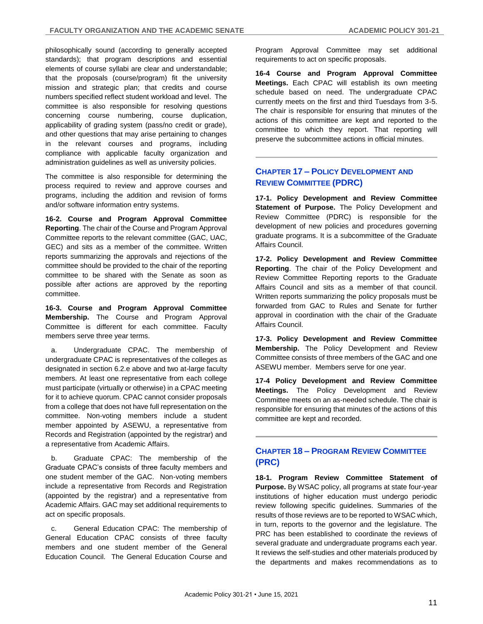philosophically sound (according to generally accepted standards); that program descriptions and essential elements of course syllabi are clear and understandable; that the proposals (course/program) fit the university mission and strategic plan; that credits and course numbers specified reflect student workload and level. The committee is also responsible for resolving questions concerning course numbering, course duplication, applicability of grading system (pass/no credit or grade), and other questions that may arise pertaining to changes in the relevant courses and programs, including compliance with applicable faculty organization and administration guidelines as well as university policies.

The committee is also responsible for determining the process required to review and approve courses and programs, including the addition and revision of forms and/or software information entry systems.

**16-2. Course and Program Approval Committee Reporting**. The chair of the Course and Program Approval Committee reports to the relevant committee (GAC, UAC, GEC) and sits as a member of the committee. Written reports summarizing the approvals and rejections of the committee should be provided to the chair of the reporting committee to be shared with the Senate as soon as possible after actions are approved by the reporting committee.

**16-3. Course and Program Approval Committee Membership.** The Course and Program Approval Committee is different for each committee. Faculty members serve three year terms.

a. Undergraduate CPAC. The membership of undergraduate CPAC is representatives of the colleges as designated in section 6.2.e above and two at-large faculty members. At least one representative from each college must participate (virtually or otherwise) in a CPAC meeting for it to achieve quorum. CPAC cannot consider proposals from a college that does not have full representation on the committee. Non-voting members include a student member appointed by ASEWU, a representative from Records and Registration (appointed by the registrar) and a representative from Academic Affairs.

b. Graduate CPAC: The membership of the Graduate CPAC's consists of three faculty members and one student member of the GAC. Non-voting members include a representative from Records and Registration (appointed by the registrar) and a representative from Academic Affairs. GAC may set additional requirements to act on specific proposals.

c. General Education CPAC: The membership of General Education CPAC consists of three faculty members and one student member of the General Education Council. The General Education Course and Program Approval Committee may set additional requirements to act on specific proposals.

**16-4 Course and Program Approval Committee Meetings.** Each CPAC will establish its own meeting schedule based on need. The undergraduate CPAC currently meets on the first and third Tuesdays from 3-5. The chair is responsible for ensuring that minutes of the actions of this committee are kept and reported to the committee to which they report. That reporting will preserve the subcommittee actions in official minutes.

## **CHAPTER 17 – POLICY DEVELOPMENT AND REVIEW COMMITTEE (PDRC)**

**17-1. Policy Development and Review Committee Statement of Purpose.** The Policy Development and Review Committee (PDRC) is responsible for the development of new policies and procedures governing graduate programs. It is a subcommittee of the Graduate Affairs Council.

**17-2. Policy Development and Review Committee Reporting**. The chair of the Policy Development and Review Committee Reporting reports to the Graduate Affairs Council and sits as a member of that council. Written reports summarizing the policy proposals must be forwarded from GAC to Rules and Senate for further approval in coordination with the chair of the Graduate Affairs Council.

**17-3. Policy Development and Review Committee Membership.** The Policy Development and Review Committee consists of three members of the GAC and one ASEWU member. Members serve for one year.

**17-4 Policy Development and Review Committee Meetings.** The Policy Development and Review Committee meets on an as-needed schedule. The chair is responsible for ensuring that minutes of the actions of this committee are kept and recorded.

## **CHAPTER 18 – PROGRAM REVIEW COMMITTEE (PRC)**

**18-1. Program Review Committee Statement of Purpose.** By WSAC policy, all programs at state four-year institutions of higher education must undergo periodic review following specific guidelines. Summaries of the results of those reviews are to be reported to WSAC which, in turn, reports to the governor and the legislature. The PRC has been established to coordinate the reviews of several graduate and undergraduate programs each year. It reviews the self-studies and other materials produced by the departments and makes recommendations as to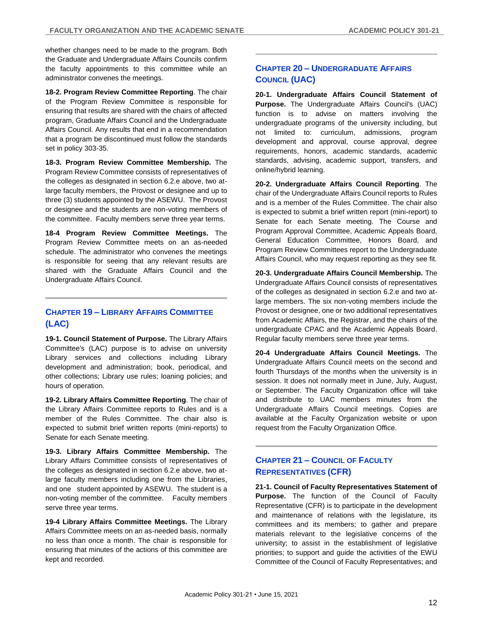whether changes need to be made to the program. Both the Graduate and Undergraduate Affairs Councils confirm the faculty appointments to this committee while an administrator convenes the meetings.

**18-2. Program Review Committee Reporting**. The chair of the Program Review Committee is responsible for ensuring that results are shared with the chairs of affected program, Graduate Affairs Council and the Undergraduate Affairs Council. Any results that end in a recommendation that a program be discontinued must follow the standards set in policy 303-35.

**18-3. Program Review Committee Membership.** The Program Review Committee consists of representatives of the colleges as designated in section 6.2.e above, two atlarge faculty members, the Provost or designee and up to three (3) students appointed by the ASEWU. The Provost or designee and the students are non-voting members of the committee. Faculty members serve three year terms.

**18-4 Program Review Committee Meetings.** The Program Review Committee meets on an as-needed schedule. The administrator who convenes the meetings is responsible for seeing that any relevant results are shared with the Graduate Affairs Council and the Undergraduate Affairs Council.

## **CHAPTER 19 – LIBRARY AFFAIRS COMMITTEE (LAC)**

**19-1. Council Statement of Purpose.** The Library Affairs Committee's (LAC) purpose is to advise on university Library services and collections including Library development and administration; book, periodical, and other collections; Library use rules; loaning policies; and hours of operation.

**19-2. Library Affairs Committee Reporting**. The chair of the Library Affairs Committee reports to Rules and is a member of the Rules Committee. The chair also is expected to submit brief written reports (mini-reports) to Senate for each Senate meeting.

**19-3. Library Affairs Committee Membership.** The Library Affairs Committee consists of representatives of the colleges as designated in section 6.2.e above, two atlarge faculty members including one from the Libraries, and one student appointed by ASEWU. The student is a non-voting member of the committee. Faculty members serve three year terms.

**19-4 Library Affairs Committee Meetings.** The Library Affairs Committee meets on an as-needed basis, normally no less than once a month. The chair is responsible for ensuring that minutes of the actions of this committee are kept and recorded.

## **CHAPTER 20 – UNDERGRADUATE AFFAIRS COUNCIL (UAC)**

**20-1. Undergraduate Affairs Council Statement of Purpose.** The Undergraduate Affairs Council's (UAC) function is to advise on matters involving the undergraduate programs of the university including, but not limited to: curriculum, admissions, program development and approval, course approval, degree requirements, honors, academic standards, academic standards, advising, academic support, transfers, and online/hybrid learning.

**20-2. Undergraduate Affairs Council Reporting**. The chair of the Undergraduate Affairs Council reports to Rules and is a member of the Rules Committee. The chair also is expected to submit a brief written report (mini-report) to Senate for each Senate meeting. The Course and Program Approval Committee, Academic Appeals Board, General Education Committee, Honors Board, and Program Review Committees report to the Undergraduate Affairs Council, who may request reporting as they see fit.

**20-3. Undergraduate Affairs Council Membership.** The Undergraduate Affairs Council consists of representatives of the colleges as designated in section 6.2.e and two atlarge members. The six non-voting members include the Provost or designee, one or two additional representatives from Academic Affairs, the Registrar, and the chairs of the undergraduate CPAC and the Academic Appeals Board. Regular faculty members serve three year terms.

**20-4 Undergraduate Affairs Council Meetings.** The Undergraduate Affairs Council meets on the second and fourth Thursdays of the months when the university is in session. It does not normally meet in June, July, August, or September. The Faculty Organization office will take and distribute to UAC members minutes from the Undergraduate Affairs Council meetings. Copies are available at the Faculty Organization website or upon request from the Faculty Organization Office.

## **CHAPTER 21 – COUNCIL OF FACULTY REPRESENTATIVES (CFR)**

**21-1. Council of Faculty Representatives Statement of Purpose.** The function of the Council of Faculty Representative (CFR) is to participate in the development and maintenance of relations with the legislature, its committees and its members; to gather and prepare materials relevant to the legislative concerns of the university; to assist in the establishment of legislative priorities; to support and guide the activities of the EWU Committee of the Council of Faculty Representatives; and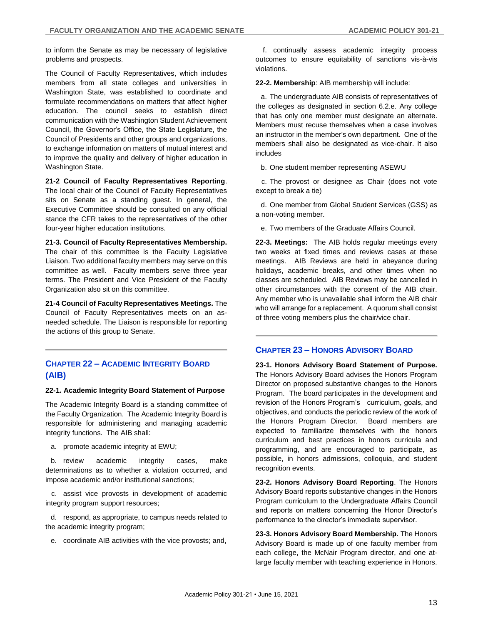to inform the Senate as may be necessary of legislative problems and prospects.

The Council of Faculty Representatives, which includes members from all state colleges and universities in Washington State, was established to coordinate and formulate recommendations on matters that affect higher education. The council seeks to establish direct communication with the Washington Student Achievement Council, the Governor's Office, the State Legislature, the Council of Presidents and other groups and organizations, to exchange information on matters of mutual interest and to improve the quality and delivery of higher education in Washington State.

**21-2 Council of Faculty Representatives Reporting**.

The local chair of the Council of Faculty Representatives sits on Senate as a standing guest. In general, the Executive Committee should be consulted on any official stance the CFR takes to the representatives of the other four-year higher education institutions.

**21-3. Council of Faculty Representatives Membership.** The chair of this committee is the Faculty Legislative Liaison. Two additional faculty members may serve on this committee as well. Faculty members serve three year terms. The President and Vice President of the Faculty Organization also sit on this committee.

**21-4 Council of Faculty Representatives Meetings.** The Council of Faculty Representatives meets on an asneeded schedule. The Liaison is responsible for reporting the actions of this group to Senate.

## **CHAPTER 22 – ACADEMIC INTEGRITY BOARD (AIB)**

## **22-1. Academic Integrity Board Statement of Purpose**

The Academic Integrity Board is a standing committee of the Faculty Organization. The Academic Integrity Board is responsible for administering and managing academic integrity functions. The AIB shall:

a. promote academic integrity at EWU;

b. review academic integrity cases, make determinations as to whether a violation occurred, and impose academic and/or institutional sanctions;

c. assist vice provosts in development of academic integrity program support resources;

d. respond, as appropriate, to campus needs related to the academic integrity program;

e. coordinate AIB activities with the vice provosts; and,

f. continually assess academic integrity process outcomes to ensure equitability of sanctions vis-à-vis violations.

**22-2. Membership**: AIB membership will include:

a. The undergraduate AIB consists of representatives of the colleges as designated in section 6.2.e. Any college that has only one member must designate an alternate. Members must recuse themselves when a case involves an instructor in the member's own department. One of the members shall also be designated as vice-chair. It also includes

b. One student member representing ASEWU

c. The provost or designee as Chair (does not vote except to break a tie)

d. One member from Global Student Services (GSS) as a non-voting member.

e. Two members of the Graduate Affairs Council.

**22-3. Meetings:** The AIB holds regular meetings every two weeks at fixed times and reviews cases at these meetings. AIB Reviews are held in abeyance during holidays, academic breaks, and other times when no classes are scheduled. AIB Reviews may be cancelled in other circumstances with the consent of the AIB chair. Any member who is unavailable shall inform the AIB chair who will arrange for a replacement. A quorum shall consist of three voting members plus the chair/vice chair.

## **CHAPTER 23 – HONORS ADVISORY BOARD**

**23-1. Honors Advisory Board Statement of Purpose.**  The Honors Advisory Board advises the Honors Program Director on proposed substantive changes to the Honors Program. The board participates in the development and revision of the Honors Program's curriculum, goals, and objectives, and conducts the periodic review of the work of the Honors Program Director. Board members are expected to familiarize themselves with the honors curriculum and best practices in honors curricula and programming, and are encouraged to participate, as possible, in honors admissions, colloquia, and student recognition events.

**23-2. Honors Advisory Board Reporting**. The Honors Advisory Board reports substantive changes in the Honors Program curriculum to the Undergraduate Affairs Council and reports on matters concerning the Honor Director's performance to the director's immediate supervisor.

**23-3. Honors Advisory Board Membership.** The Honors Advisory Board is made up of one faculty member from each college, the McNair Program director, and one atlarge faculty member with teaching experience in Honors.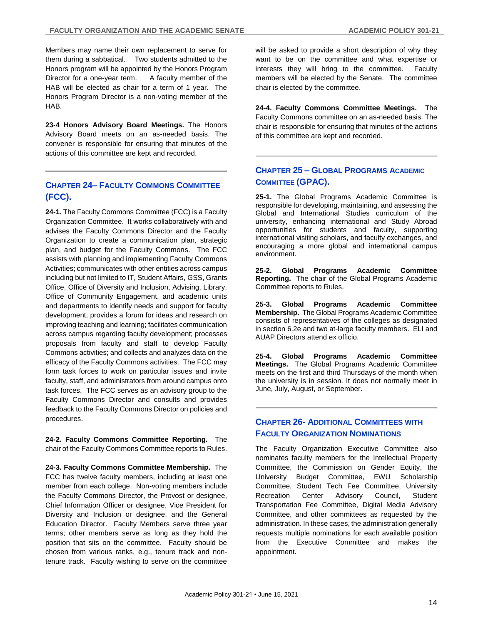Members may name their own replacement to serve for them during a sabbatical. Two students admitted to the Honors program will be appointed by the Honors Program Director for a one-year term. A faculty member of the HAB will be elected as chair for a term of 1 year. The Honors Program Director is a non-voting member of the HAB.

**23-4 Honors Advisory Board Meetings.** The Honors Advisory Board meets on an as-needed basis. The convener is responsible for ensuring that minutes of the actions of this committee are kept and recorded.

## **CHAPTER 24– FACULTY COMMONS COMMITTEE (FCC).**

**24-1.** The Faculty Commons Committee (FCC) is a Faculty Organization Committee. It works collaboratively with and advises the Faculty Commons Director and the Faculty Organization to create a communication plan, strategic plan, and budget for the Faculty Commons. The FCC assists with planning and implementing Faculty Commons Activities; communicates with other entities across campus including but not limited to IT, Student Affairs, GSS, Grants Office, Office of Diversity and Inclusion, Advising, Library, Office of Community Engagement, and academic units and departments to identify needs and support for faculty development; provides a forum for ideas and research on improving teaching and learning; facilitates communication across campus regarding faculty development; processes proposals from faculty and staff to develop Faculty Commons activities; and collects and analyzes data on the efficacy of the Faculty Commons activities. The FCC may form task forces to work on particular issues and invite faculty, staff, and administrators from around campus onto task forces. The FCC serves as an advisory group to the Faculty Commons Director and consults and provides feedback to the Faculty Commons Director on policies and procedures.

**24-2. Faculty Commons Committee Reporting.** The chair of the Faculty Commons Committee reports to Rules.

**24-3. Faculty Commons Committee Membership.** The FCC has twelve faculty members, including at least one member from each college. Non-voting members include the Faculty Commons Director, the Provost or designee, Chief Information Officer or designee, Vice President for Diversity and Inclusion or designee, and the General Education Director. Faculty Members serve three year terms; other members serve as long as they hold the position that sits on the committee. Faculty should be chosen from various ranks, e.g., tenure track and nontenure track. Faculty wishing to serve on the committee

will be asked to provide a short description of why they want to be on the committee and what expertise or interests they will bring to the committee. Faculty members will be elected by the Senate. The committee chair is elected by the committee.

**24-4. Faculty Commons Committee Meetings.** The Faculty Commons committee on an as-needed basis. The chair is responsible for ensuring that minutes of the actions of this committee are kept and recorded.

## **CHAPTER 25 – GLOBAL PROGRAMS ACADEMIC COMMITTEE (GPAC).**

**25-1.** The Global Programs Academic Committee is responsible for developing, maintaining, and assessing the Global and International Studies curriculum of the university, enhancing international and Study Abroad opportunities for students and faculty, supporting international visiting scholars, and faculty exchanges, and encouraging a more global and international campus environment.

**25-2. Global Programs Academic Committee Reporting.** The chair of the Global Programs Academic Committee reports to Rules.

**25-3. Global Programs Academic Committee Membership.** The Global Programs Academic Committee consists of representatives of the colleges as designated in section 6.2e and two at-large faculty members. ELI and AUAP Directors attend ex officio.

**25-4. Global Programs Academic Committee Meetings.** The Global Programs Academic Committee meets on the first and third Thursdays of the month when the university is in session. It does not normally meet in June, July, August, or September.

## **CHAPTER 26- ADDITIONAL COMMITTEES WITH FACULTY ORGANIZATION NOMINATIONS**

The Faculty Organization Executive Committee also nominates faculty members for the Intellectual Property Committee, the Commission on Gender Equity, the University Budget Committee, EWU Scholarship Committee, Student Tech Fee Committee, University Recreation Center Advisory Council, Student Transportation Fee Committee, Digital Media Advisory Committee, and other committees as requested by the administration. In these cases, the administration generally requests multiple nominations for each available position from the Executive Committee and makes the appointment.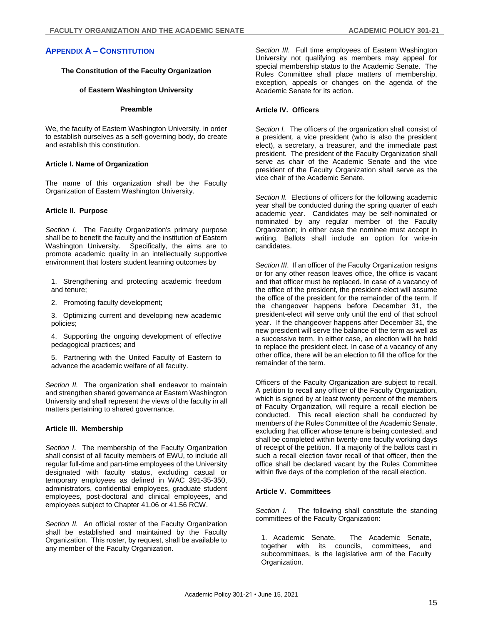#### **The Constitution of the Faculty Organization**

#### **of Eastern Washington University**

#### **Preamble**

We, the faculty of Eastern Washington University, in order to establish ourselves as a self-governing body, do create and establish this constitution.

#### **Article I. Name of Organization**

The name of this organization shall be the Faculty Organization of Eastern Washington University.

#### **Article II. Purpose**

*Section I.* The Faculty Organization's primary purpose shall be to benefit the faculty and the institution of Eastern Washington University. Specifically, the aims are to promote academic quality in an intellectually supportive environment that fosters student learning outcomes by

1. Strengthening and protecting academic freedom and tenure;

2. Promoting faculty development;

3. Optimizing current and developing new academic policies;

4. Supporting the ongoing development of effective pedagogical practices; and

5. Partnering with the United Faculty of Eastern to advance the academic welfare of all faculty.

*Section II.* The organization shall endeavor to maintain and strengthen shared governance at Eastern Washington University and shall represent the views of the faculty in all matters pertaining to shared governance.

#### **Article III. Membership**

*Section I*. The membership of the Faculty Organization shall consist of all faculty members of EWU, to include all regular full-time and part-time employees of the University designated with faculty status, excluding casual or temporary employees as defined in WAC 391-35-350, administrators, confidential employees, graduate student employees, post-doctoral and clinical employees, and employees subject to Chapter 41.06 or 41.56 RCW.

*Section II.* An official roster of the Faculty Organization shall be established and maintained by the Faculty Organization. This roster, by request, shall be available to any member of the Faculty Organization.

*Section III.* Full time employees of Eastern Washington University not qualifying as members may appeal for special membership status to the Academic Senate. The Rules Committee shall place matters of membership, exception, appeals or changes on the agenda of the Academic Senate for its action.

## **Article IV. Officers**

*Section I.* The officers of the organization shall consist of a president, a vice president (who is also the president elect), a secretary, a treasurer, and the immediate past president. The president of the Faculty Organization shall serve as chair of the Academic Senate and the vice president of the Faculty Organization shall serve as the vice chair of the Academic Senate.

*Section II.* Elections of officers for the following academic year shall be conducted during the spring quarter of each academic year. Candidates may be self-nominated or nominated by any regular member of the Faculty Organization; in either case the nominee must accept in writing. Ballots shall include an option for write-in candidates.

*Section III*. If an officer of the Faculty Organization resigns or for any other reason leaves office, the office is vacant and that officer must be replaced. In case of a vacancy of the office of the president, the president-elect will assume the office of the president for the remainder of the term. If the changeover happens before December 31, the president-elect will serve only until the end of that school year. If the changeover happens after December 31, the new president will serve the balance of the term as well as a successive term. In either case, an election will be held to replace the president elect. In case of a vacancy of any other office, there will be an election to fill the office for the remainder of the term.

Officers of the Faculty Organization are subject to recall. A petition to recall any officer of the Faculty Organization, which is signed by at least twenty percent of the members of Faculty Organization, will require a recall election be conducted. This recall election shall be conducted by members of the Rules Committee of the Academic Senate, excluding that officer whose tenure is being contested, and shall be completed within twenty-one faculty working days of receipt of the petition. If a majority of the ballots cast in such a recall election favor recall of that officer, then the office shall be declared vacant by the Rules Committee within five days of the completion of the recall election.

## **Article V. Committees**

*Section I.* The following shall constitute the standing committees of the Faculty Organization:

1. Academic Senate. The Academic Senate, together with its councils, committees, and subcommittees, is the legislative arm of the Faculty Organization.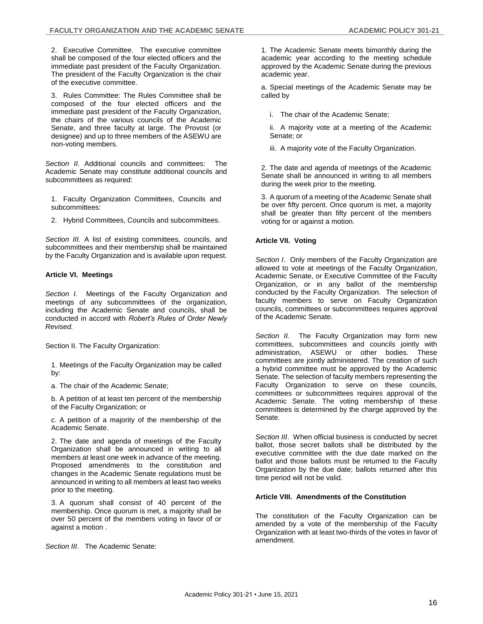2. Executive Committee. The executive committee shall be composed of the four elected officers and the immediate past president of the Faculty Organization. The president of the Faculty Organization is the chair of the executive committee.

3. Rules Committee: The Rules Committee shall be composed of the four elected officers and the immediate past president of the Faculty Organization, the chairs of the various councils of the Academic Senate, and three faculty at large. The Provost (or designee) and up to three members of the ASEWU are non-voting members.

*Section II.* Additional councils and committees: The Academic Senate may constitute additional councils and subcommittees as required:

- 1. Faculty Organization Committees, Councils and subcommittees:
- 2. Hybrid Committees, Councils and subcommittees.

*Section III.* A list of existing committees, councils, and subcommittees and their membership shall be maintained by the Faculty Organization and is available upon request.

## **Article VI. Meetings**

*Section I*. Meetings of the Faculty Organization and meetings of any subcommittees of the organization, including the Academic Senate and councils, shall be conducted in accord with *Robert's Rules of Order Newly Revised.*

Section II. The Faculty Organization:

1. Meetings of the Faculty Organization may be called by:

a. The chair of the Academic Senate;

b. A petition of at least ten percent of the membership of the Faculty Organization; or

c. A petition of a majority of the membership of the Academic Senate.

2. The date and agenda of meetings of the Faculty Organization shall be announced in writing to all members at least one week in advance of the meeting. Proposed amendments to the constitution and changes in the Academic Senate regulations must be announced in writing to all members at least two weeks prior to the meeting.

3. A quorum shall consist of 40 percent of the membership. Once quorum is met, a majority shall be over 50 percent of the members voting in favor of or against a motion .

*Section III*. The Academic Senate:

1. The Academic Senate meets bimonthly during the academic year according to the meeting schedule approved by the Academic Senate during the previous academic year.

a. Special meetings of the Academic Senate may be called by

i. The chair of the Academic Senate;

ii. A majority vote at a meeting of the Academic Senate; or

iii. A majority vote of the Faculty Organization.

2. The date and agenda of meetings of the Academic Senate shall be announced in writing to all members during the week prior to the meeting.

3. A quorum of a meeting of the Academic Senate shall be over fifty percent. Once quorum is met, a majority shall be greater than fifty percent of the members voting for or against a motion.

## **Article VII. Voting**

*Section I*. Only members of the Faculty Organization are allowed to vote at meetings of the Faculty Organization, Academic Senate, or Executive Committee of the Faculty Organization, or in any ballot of the membership conducted by the Faculty Organization. The selection of faculty members to serve on Faculty Organization councils, committees or subcommittees requires approval of the Academic Senate.

*Section II.* The Faculty Organization may form new committees, subcommittees and councils jointly with administration, ASEWU or other bodies. These committees are jointly administered. The creation of such a hybrid committee must be approved by the Academic Senate. The selection of faculty members representing the Faculty Organization to serve on these councils, committees or subcommittees requires approval of the Academic Senate. The voting membership of these committees is determined by the charge approved by the Senate.

*Section III*. When official business is conducted by secret ballot, those secret ballots shall be distributed by the executive committee with the due date marked on the ballot and those ballots must be returned to the Faculty Organization by the due date; ballots returned after this time period will not be valid.

## **Article VIII. Amendments of the Constitution**

The constitution of the Faculty Organization can be amended by a vote of the membership of the Faculty Organization with at least two-thirds of the votes in favor of amendment.